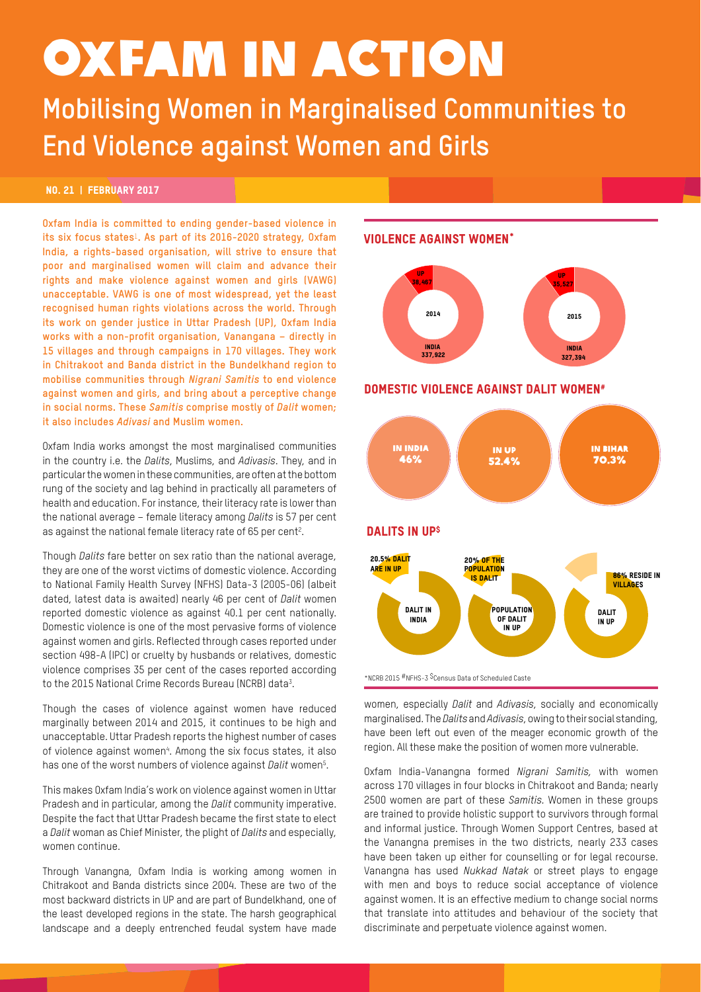# OXFAM IN ACTION

**Mobilising Women in Marginalised Communities to End Violence against Women and Girls** 

## no. 21 | FEBRUARY 2017

**Oxfam India is committed to ending gender-based violence in its six focus states**1**. As part of its 2016-2020 strategy, Oxfam India, a rights-based organisation, will strive to ensure that poor and marginalised women will claim and advance their rights and make violence against women and girls (VAWG) unacceptable. VAWG is one of most widespread, yet the least recognised human rights violations across the world. Through its work on gender justice in Uttar Pradesh (UP), Oxfam India works with a non-profit organisation, Vanangana – directly in 15 villages and through campaigns in 170 villages. They work in Chitrakoot and Banda district in the Bundelkhand region to mobilise communities through** *Nigrani Samitis* **to end violence against women and girls, and bring about a perceptive change in social norms. These** *Samitis* **comprise mostly of** *Dalit* **women; it also includes** *Adivasi* **and Muslim women.**

Oxfam India works amongst the most marginalised communities in the country i.e. the *Dalits*, Muslims, and *Adivasis*. They, and in particular the women in these communities, are often at the bottom rung of the society and lag behind in practically all parameters of health and education. For instance, their literacy rate is lower than the national average – female literacy among *Dalits* is 57 per cent as against the national female literacy rate of 65 per cent<sup>2</sup>.

Though *Dalits* fare better on sex ratio than the national average, they are one of the worst victims of domestic violence. According to National Family Health Survey (NFHS) Data-3 (2005-06) (albeit dated, latest data is awaited) nearly 46 per cent of *Dalit* women reported domestic violence as against 40.1 per cent nationally. Domestic violence is one of the most pervasive forms of violence against women and girls. Reflected through cases reported under section 498-A (IPC) or cruelty by husbands or relatives, domestic violence comprises 35 per cent of the cases reported according to the 2015 National Crime Records Bureau (NCRB) data3 .

Though the cases of violence against women have reduced marginally between 2014 and 2015, it continues to be high and unacceptable. Uttar Pradesh reports the highest number of cases of violence against women<sup>4</sup>. Among the six focus states, it also has one of the worst numbers of violence against *Dalit* women5 .

This makes Oxfam India's work on violence against women in Uttar Pradesh and in particular, among the *Dalit* community imperative. Despite the fact that Uttar Pradesh became the first state to elect a *Dalit* woman as Chief Minister, the plight of *Dalits* and especially, women continue.

Through Vanangna, Oxfam India is working among women in Chitrakoot and Banda districts since 2004. These are two of the most backward districts in UP and are part of Bundelkhand, one of the least developed regions in the state. The harsh geographical landscape and a deeply entrenched feudal system have made

## **VIOLENCE AGAINST WOMEN\***

2015



## DOMESTIC VIOLENCE AGAINST DALIT WOMEN#



women, especially *Dalit* and *Adivasis*, socially and economically marginalised. The *Dalits* and *Adivasis*, owing to their social standing, have been left out even of the meager economic growth of the  $\epsilon$  region. All these make the position of women more vulnerable.

Oxfam India-Vanangna formed *Nigrani Samitis,* with women across 170 villages in four blocks in Chitrakoot and Banda; nearly 2500 women are part of these *Samitis.* Women in these groups are trained to provide holistic support to survivors through formal and informal justice. Through Women Support Centres, based at the Vanangna premises in the two districts, nearly 233 cases have been taken up either for counselling or for legal recourse. Vanangna has used *Nukkad Natak* or street plays to engage with men and boys to reduce social acceptance of violence against women. It is an effective medium to change social norms that translate into attitudes and behaviour of the society that discriminate and perpetuate violence against women.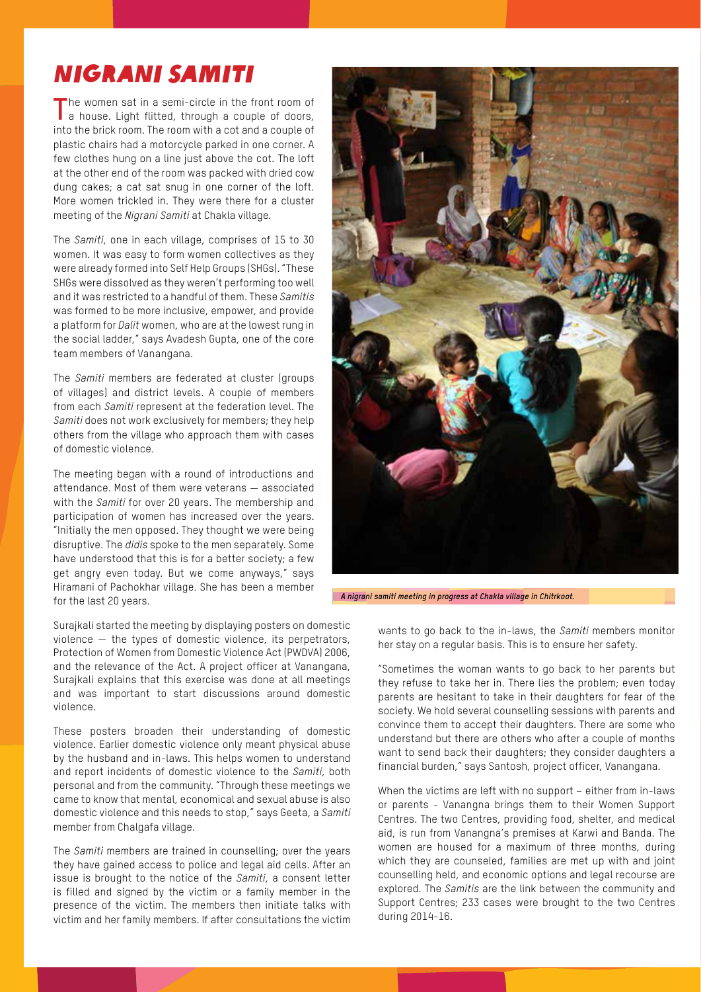# Nigrani Samiti

The women sat in a semi-circle in the front room of a house. Light flitted, through a couple of doors, into the brick room. The room with a cot and a couple of plastic chairs had a motorcycle parked in one corner. A few clothes hung on a line just above the cot. The loft at the other end of the room was packed with dried cow dung cakes; a cat sat snug in one corner of the loft. More women trickled in. They were there for a cluster meeting of the *Nigrani Samiti* at Chakla village*.*

The *Samiti*, one in each village, comprises of 15 to 30 women. It was easy to form women collectives as they were already formed into Self Help Groups (SHGs). "These SHGs were dissolved as they weren't performing too well and it was restricted to a handful of them. These *Samitis* was formed to be more inclusive, empower, and provide a platform for *Dalit* women, who are at the lowest rung in the social ladder," says Avadesh Gupta, one of the core team members of Vanangana.

The *Samiti* members are federated at cluster (groups of villages) and district levels. A couple of members from each *Samiti* represent at the federation level. The *Samiti* does not work exclusively for members; they help others from the village who approach them with cases of domestic violence.

The meeting began with a round of introductions and attendance. Most of them were veterans — associated with the *Samiti* for over 20 years. The membership and participation of women has increased over the years. "Initially the men opposed. They thought we were being disruptive. The *didis* spoke to the men separately. Some have understood that this is for a better society; a few get angry even today. But we come anyways," says Hiramani of Pachokhar village. She has been a member for the last 20 years.

Surajkali started the meeting by displaying posters on domestic violence — the types of domestic violence, its perpetrators, Protection of Women from Domestic Violence Act (PWDVA) 2006, and the relevance of the Act. A project officer at Vanangana, Surajkali explains that this exercise was done at all meetings and was important to start discussions around domestic violence.

These posters broaden their understanding of domestic violence. Earlier domestic violence only meant physical abuse by the husband and in-laws. This helps women to understand and report incidents of domestic violence to the *Samiti*, both personal and from the community. "Through these meetings we came to know that mental, economical and sexual abuse is also domestic violence and this needs to stop," says Geeta, a *Samiti*  member from Chalgafa village.

The *Samiti* members are trained in counselling; over the years they have gained access to police and legal aid cells. After an issue is brought to the notice of the *Samiti*, a consent letter is filled and signed by the victim or a family member in the presence of the victim. The members then initiate talks with victim and her family members. If after consultations the victim



*A nigrani samiti meeting in progress at Chakla village in Chitrkoot.*

wants to go back to the in-laws, the *Samiti* members monitor her stay on a regular basis. This is to ensure her safety.

"Sometimes the woman wants to go back to her parents but they refuse to take her in. There lies the problem; even today parents are hesitant to take in their daughters for fear of the society. We hold several counselling sessions with parents and convince them to accept their daughters. There are some who understand but there are others who after a couple of months want to send back their daughters; they consider daughters a financial burden," says Santosh, project officer, Vanangana.

When the victims are left with no support – either from in-laws or parents - Vanangna brings them to their Women Support Centres. The two Centres, providing food, shelter, and medical aid, is run from Vanangna's premises at Karwi and Banda. The women are housed for a maximum of three months, during which they are counseled, families are met up with and joint counselling held, and economic options and legal recourse are explored. The *Samitis* are the link between the community and Support Centres; 233 cases were brought to the two Centres during 2014-16.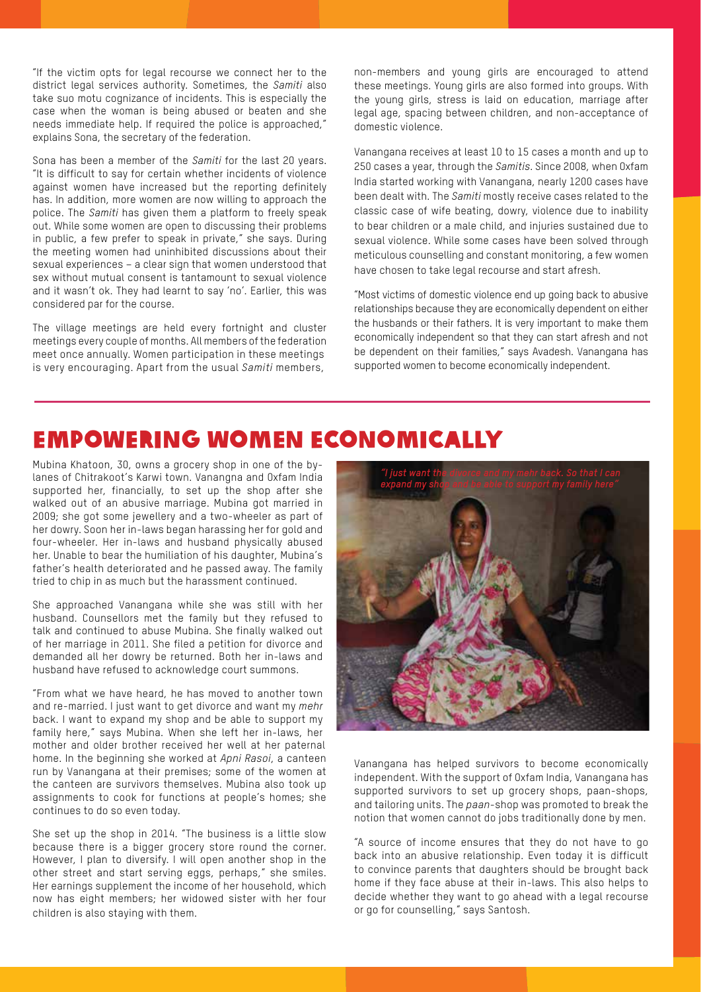"If the victim opts for legal recourse we connect her to the district legal services authority. Sometimes, the *Samiti* also take suo motu cognizance of incidents. This is especially the case when the woman is being abused or beaten and she needs immediate help. If required the police is approached," explains Sona, the secretary of the federation.

Sona has been a member of the *Samiti* for the last 20 years. "It is difficult to say for certain whether incidents of violence against women have increased but the reporting definitely has. In addition, more women are now willing to approach the police. The *Samiti* has given them a platform to freely speak out. While some women are open to discussing their problems in public, a few prefer to speak in private," she says. During the meeting women had uninhibited discussions about their sexual experiences – a clear sign that women understood that sex without mutual consent is tantamount to sexual violence and it wasn't ok. They had learnt to say 'no'. Earlier, this was considered par for the course.

The village meetings are held every fortnight and cluster meetings every couple of months. All members of the federation meet once annually. Women participation in these meetings is very encouraging. Apart from the usual *Samiti* members,

non-members and young girls are encouraged to attend these meetings. Young girls are also formed into groups. With the young girls, stress is laid on education, marriage after legal age, spacing between children, and non-acceptance of domestic violence.

Vanangana receives at least 10 to 15 cases a month and up to 250 cases a year, through the *Samitis*. Since 2008, when Oxfam India started working with Vanangana, nearly 1200 cases have been dealt with. The *Samiti* mostly receive cases related to the classic case of wife beating, dowry, violence due to inability to bear children or a male child, and injuries sustained due to sexual violence. While some cases have been solved through meticulous counselling and constant monitoring, a few women have chosen to take legal recourse and start afresh.

"Most victims of domestic violence end up going back to abusive relationships because they are economically dependent on either the husbands or their fathers. It is very important to make them economically independent so that they can start afresh and not be dependent on their families," says Avadesh. Vanangana has supported women to become economically independent.

## Empowering Women Economically

Mubina Khatoon, 30, owns a grocery shop in one of the bylanes of Chitrakoot's Karwi town. Vanangna and Oxfam India supported her, financially, to set up the shop after she walked out of an abusive marriage. Mubina got married in 2009; she got some jewellery and a two-wheeler as part of her dowry. Soon her in-laws began harassing her for gold and four-wheeler. Her in-laws and husband physically abused her. Unable to bear the humiliation of his daughter, Mubina's father's health deteriorated and he passed away. The family tried to chip in as much but the harassment continued.

She approached Vanangana while she was still with her husband. Counsellors met the family but they refused to talk and continued to abuse Mubina. She finally walked out of her marriage in 2011. She filed a petition for divorce and demanded all her dowry be returned. Both her in-laws and husband have refused to acknowledge court summons.

"From what we have heard, he has moved to another town and re-married. I just want to get divorce and want my *mehr*  back. I want to expand my shop and be able to support my family here," says Mubina. When she left her in-laws, her mother and older brother received her well at her paternal home. In the beginning she worked at *Apni Rasoi*, a canteen run by Vanangana at their premises; some of the women at the canteen are survivors themselves. Mubina also took up assignments to cook for functions at people's homes; she continues to do so even today.

She set up the shop in 2014. "The business is a little slow because there is a bigger grocery store round the corner. However, I plan to diversify. I will open another shop in the other street and start serving eggs, perhaps," she smiles. Her earnings supplement the income of her household, which now has eight members; her widowed sister with her four children is also staying with them.



Vanangana has helped survivors to become economically independent. With the support of Oxfam India, Vanangana has supported survivors to set up grocery shops, paan-shops, and tailoring units. The *paan*-shop was promoted to break the notion that women cannot do jobs traditionally done by men.

"A source of income ensures that they do not have to go back into an abusive relationship. Even today it is difficult to convince parents that daughters should be brought back home if they face abuse at their in-laws. This also helps to decide whether they want to go ahead with a legal recourse or go for counselling," says Santosh.